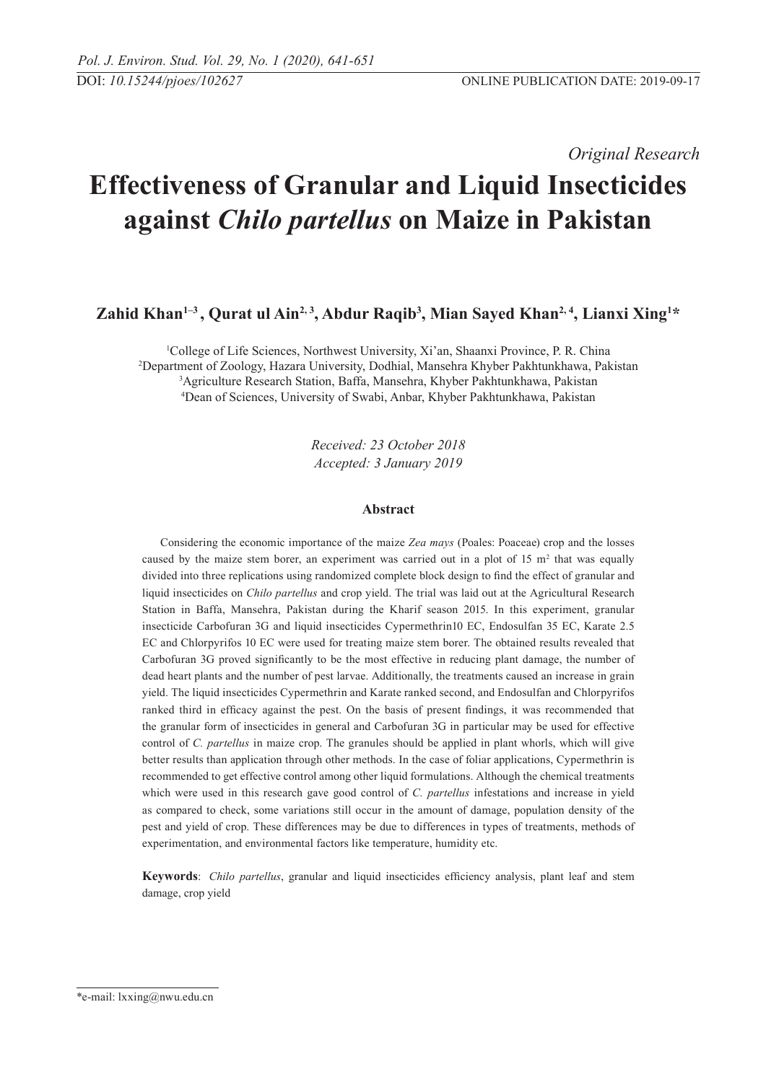*Original Research* 

# **Effectiveness of Granular and Liquid Insecticides against** *Chilo partellus* **on Maize in Pakistan**

Zahid Khan<sup>1-3</sup>, Qurat ul Ain<sup>2, 3</sup>, Abdur Raqib<sup>3</sup>, Mian Sayed Khan<sup>2, 4</sup>, Lianxi Xing<sup>1\*</sup>

 College of Life Sciences, Northwest University, Xi'an, Shaanxi Province, P. R. China Department of Zoology, Hazara University, Dodhial, Mansehra Khyber Pakhtunkhawa, Pakistan Agriculture Research Station, Baffa, Mansehra, Khyber Pakhtunkhawa, Pakistan Dean of Sciences, University of Swabi, Anbar, Khyber Pakhtunkhawa, Pakistan

> *Received: 23 October 2018 Accepted: 3 January 2019*

#### **Abstract**

Considering the economic importance of the maize *Zea mays* (Poales: Poaceae) crop and the losses caused by the maize stem borer, an experiment was carried out in a plot of 15  $m<sup>2</sup>$  that was equally divided into three replications using randomized complete block design to find the effect of granular and liquid insecticides on *Chilo partellus* and crop yield. The trial was laid out at the Agricultural Research Station in Baffa, Mansehra, Pakistan during the Kharif season 2015. In this experiment, granular insecticide Carbofuran 3G and liquid insecticides Cypermethrin10 EC, Endosulfan 35 EC, Karate 2.5 EC and Chlorpyrifos 10 EC were used for treating maize stem borer. The obtained results revealed that Carbofuran 3G proved significantly to be the most effective in reducing plant damage, the number of dead heart plants and the number of pest larvae. Additionally, the treatments caused an increase in grain yield. The liquid insecticides Cypermethrin and Karate ranked second, and Endosulfan and Chlorpyrifos ranked third in efficacy against the pest. On the basis of present findings, it was recommended that the granular form of insecticides in general and Carbofuran 3G in particular may be used for effective control of *C. partellus* in maize crop. The granules should be applied in plant whorls, which will give better results than application through other methods. In the case of foliar applications, Cypermethrin is recommended to get effective control among other liquid formulations. Although the chemical treatments which were used in this research gave good control of *C. partellus* infestations and increase in yield as compared to check, some variations still occur in the amount of damage, population density of the pest and yield of crop. These differences may be due to differences in types of treatments, methods of experimentation, and environmental factors like temperature, humidity etc.

**Keywords**: *Chilo partellus*, granular and liquid insecticides efficiency analysis, plant leaf and stem damage, crop yield

<sup>\*</sup>e-mail: lxxing@nwu.edu.cn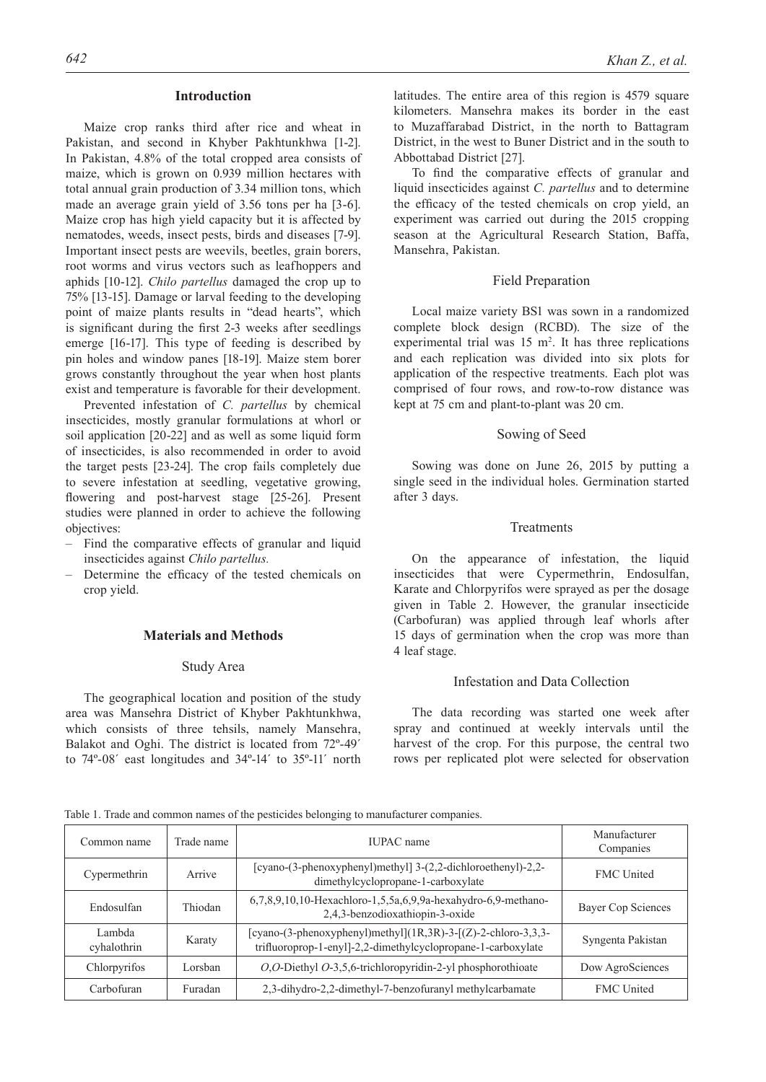#### **Introduction**

Maize crop ranks third after rice and wheat in Pakistan, and second in Khyber Pakhtunkhwa [1-2]. In Pakistan, 4.8% of the total cropped area consists of maize, which is grown on 0.939 million hectares with total annual grain production of 3.34 million tons, which made an average grain yield of 3.56 tons per ha [3-6]. Maize crop has high yield capacity but it is affected by nematodes, weeds, insect pests, birds and diseases [7-9]. Important insect pests are weevils, beetles, grain borers, root worms and virus vectors such as leafhoppers and aphids [10-12]. *Chilo partellus* damaged the crop up to 75% [13-15]. Damage or larval feeding to the developing point of maize plants results in "dead hearts", which is significant during the first 2-3 weeks after seedlings emerge [16-17]. This type of feeding is described by pin holes and window panes [18-19]. Maize stem borer grows constantly throughout the year when host plants exist and temperature is favorable for their development.

Prevented infestation of *C. partellus* by chemical insecticides, mostly granular formulations at whorl or soil application [20-22] and as well as some liquid form of insecticides, is also recommended in order to avoid the target pests [23-24]. The crop fails completely due to severe infestation at seedling, vegetative growing, flowering and post-harvest stage [25-26]. Present studies were planned in order to achieve the following objectives:

- Find the comparative effects of granular and liquid insecticides against *Chilo partellus.*
- Determine the efficacy of the tested chemicals on crop yield.

## **Materials and Methods**

### Study Area

The geographical location and position of the study area was Mansehra District of Khyber Pakhtunkhwa, which consists of three tehsils, namely Mansehra, Balakot and Oghi. The district is located from 72º-49´ to 74º-08´ east longitudes and 34º-14´ to 35º-11´ north latitudes. The entire area of this region is 4579 square kilometers. Mansehra makes its border in the east to Muzaffarabad District, in the north to Battagram District, in the west to Buner District and in the south to Abbottabad District [27].

To find the comparative effects of granular and liquid insecticides against *C. partellus* and to determine the efficacy of the tested chemicals on crop yield, an experiment was carried out during the 2015 cropping season at the Agricultural Research Station, Baffa, Mansehra, Pakistan.

#### Field Preparation

Local maize variety BS1 was sown in a randomized complete block design (RCBD). The size of the experimental trial was  $15 \text{ m}^2$ . It has three replications and each replication was divided into six plots for application of the respective treatments. Each plot was comprised of four rows, and row-to-row distance was kept at 75 cm and plant-to-plant was 20 cm.

#### Sowing of Seed

Sowing was done on June 26, 2015 by putting a single seed in the individual holes. Germination started after 3 days.

#### **Treatments**

On the appearance of infestation, the liquid insecticides that were Cypermethrin, Endosulfan, Karate and Chlorpyrifos were sprayed as per the dosage given in Table 2. However, the granular insecticide (Carbofuran) was applied through leaf whorls after 15 days of germination when the crop was more than 4 leaf stage.

#### Infestation and Data Collection

The data recording was started one week after spray and continued at weekly intervals until the harvest of the crop. For this purpose, the central two rows per replicated plot were selected for observation

Table 1. Trade and common names of the pesticides belonging to manufacturer companies.

| Common name           | Trade name | IUPAC name                                                                                                                    | Manufacturer<br>Companies |
|-----------------------|------------|-------------------------------------------------------------------------------------------------------------------------------|---------------------------|
| Cypermethrin          | Arrive     | [cyano-(3-phenoxyphenyl)methyl] 3-(2,2-dichloroethenyl)-2,2-<br>dimethylcyclopropane-1-carboxylate                            | <b>FMC</b> United         |
| Endosulfan            | Thiodan    | 6,7,8,9,10,10-Hexachloro-1,5,5a,6,9,9a-hexahydro-6,9-methano-<br>2,4,3-benzodioxathiopin-3-oxide                              | <b>Bayer Cop Sciences</b> |
| Lambda<br>cyhalothrin | Karaty     | [cyano-(3-phenoxyphenyl)methyl](1R,3R)-3-[(Z)-2-chloro-3,3,3-<br>trifluoroprop-1-enyl]-2,2-dimethylcyclopropane-1-carboxylate | Syngenta Pakistan         |
| Chlorpyrifos          | Lorsban    | O,O-Diethyl O-3,5,6-trichloropyridin-2-yl phosphorothioate                                                                    | Dow AgroSciences          |
| Carbofuran            | Furadan    | 2,3-dihydro-2,2-dimethyl-7-benzofuranyl methylcarbamate                                                                       | <b>FMC</b> United         |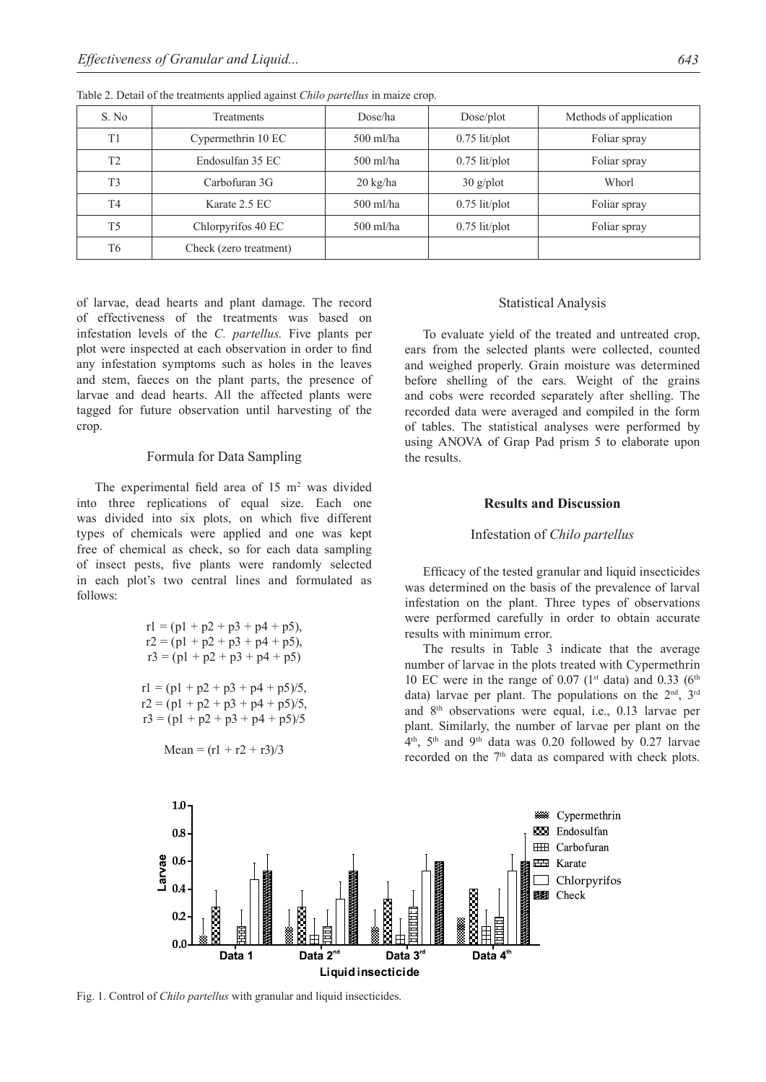| S. No          | Treatments             | Dose/ha            | Dose/plot       | Methods of application |  |
|----------------|------------------------|--------------------|-----------------|------------------------|--|
| T <sub>1</sub> | Cypermethrin 10 EC     | $500$ ml/ha        | $0.75$ lit/plot | Foliar spray           |  |
| T <sub>2</sub> | Endosulfan 35 EC       | $500$ ml/ha        | $0.75$ lit/plot | Foliar spray           |  |
| T <sub>3</sub> | Carbofuran 3G          | $20 \text{ kg/ha}$ | $30$ g/plot     | Whorl                  |  |
| T <sub>4</sub> | Karate 2.5 EC          | $500$ ml/ha        | $0.75$ lit/plot | Foliar spray           |  |
| T <sub>5</sub> | Chlorpyrifos 40 EC     | $500$ ml/ha        | $0.75$ lit/plot | Foliar spray           |  |
| T <sub>6</sub> | Check (zero treatment) |                    |                 |                        |  |

Table 2. Detail of the treatments applied against *Chilo partellus* in maize crop.

of larvae, dead hearts and plant damage. The record of effectiveness of the treatments was based on infestation levels of the *C. partellus.* Five plants per plot were inspected at each observation in order to find any infestation symptoms such as holes in the leaves and stem, faeces on the plant parts, the presence of larvae and dead hearts. All the affected plants were tagged for future observation until harvesting of the crop.

#### Formula for Data Sampling

The experimental field area of  $15 \text{ m}^2$  was divided into three replications of equal size. Each one was divided into six plots, on which five different types of chemicals were applied and one was kept free of chemical as check, so for each data sampling of insect pests, five plants were randomly selected in each plot's two central lines and formulated as follows:

$$
r1 = (p1 + p2 + p3 + p4 + p5),
$$
  
\n
$$
r2 = (p1 + p2 + p3 + p4 + p5),
$$
  
\n
$$
r3 = (p1 + p2 + p3 + p4 + p5)
$$
  
\n
$$
r1 = (p1 + p2 + p3 + p4 + p5)/5,
$$
  
\n
$$
r2 = (p1 + p2 + p3 + p4 + p5)/5,
$$
  
\n
$$
r3 = (p1 + p2 + p3 + p4 + p5)/5
$$

Mean = 
$$
(r1 + r2 + r3)/3
$$

#### Statistical Analysis

To evaluate yield of the treated and untreated crop, ears from the selected plants were collected, counted and weighed properly. Grain moisture was determined before shelling of the ears. Weight of the grains and cobs were recorded separately after shelling. The recorded data were averaged and compiled in the form of tables. The statistical analyses were performed by using ANOVA of Grap Pad prism 5 to elaborate upon the results.

#### **Results and Discussion**

## Infestation of *Chilo partellus*

Efficacy of the tested granular and liquid insecticides was determined on the basis of the prevalence of larval infestation on the plant. Three types of observations were performed carefully in order to obtain accurate results with minimum error.

The results in Table 3 indicate that the average number of larvae in the plots treated with Cypermethrin 10 EC were in the range of 0.07 ( $1<sup>st</sup>$  data) and 0.33 ( $6<sup>th</sup>$ data) larvae per plant. The populations on the  $2<sup>nd</sup>$ ,  $3<sup>rd</sup>$ and 8th observations were equal, i.e., 0.13 larvae per plant. Similarly, the number of larvae per plant on the  $4<sup>th</sup>$ ,  $5<sup>th</sup>$  and  $9<sup>th</sup>$  data was 0.20 followed by 0.27 larvae recorded on the 7<sup>th</sup> data as compared with check plots.



Fig. 1. Control of *Chilo partellus* with granular and liquid insecticides.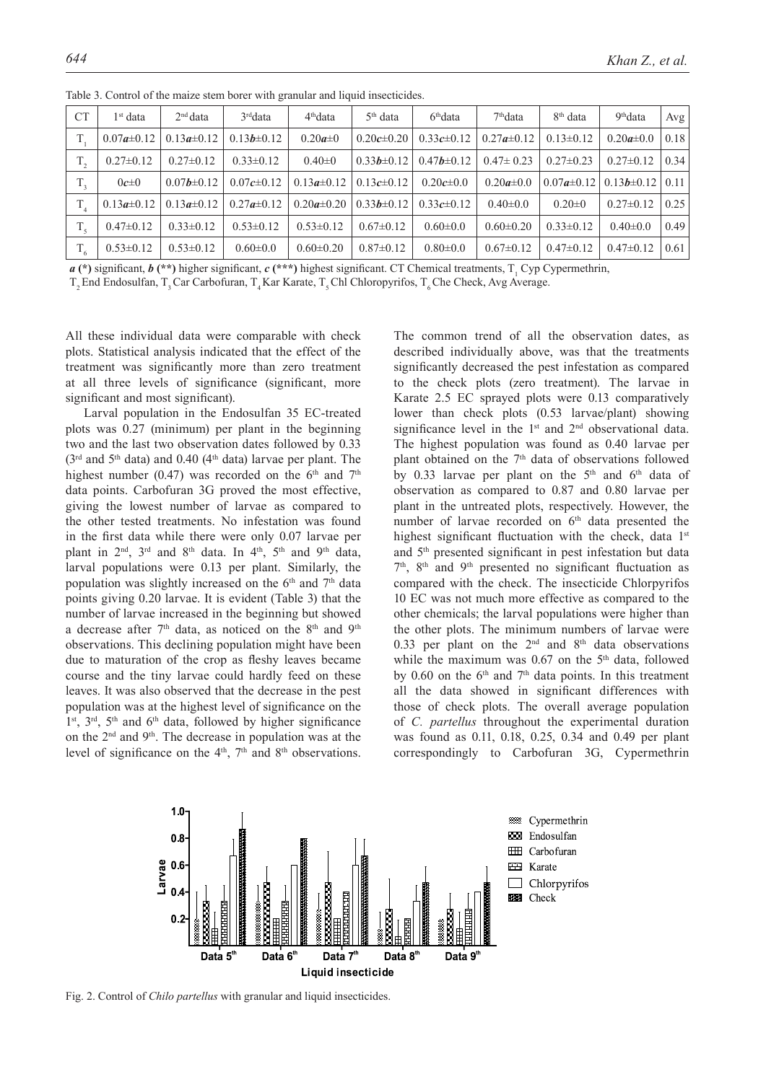| <b>CT</b>   | $1st$ data       | 2 <sup>nd</sup> data | 3 <sup>rd</sup> data | $4th$ data       | $5th$ data       | 6 <sup>th</sup> data | $7th$ data       | 8 <sup>th</sup> data | 9 <sup>th</sup> data | Avg  |
|-------------|------------------|----------------------|----------------------|------------------|------------------|----------------------|------------------|----------------------|----------------------|------|
|             | $0.07a \pm 0.12$ | $0.13a \pm 0.12$     | $0.13b \pm 0.12$     | $0.20a \pm 0$    | $0.20c \pm 0.20$ | $0.33c \pm 0.12$     | $0.27a \pm 0.12$ | $0.13 \pm 0.12$      | $0.20a \pm 0.0$      | 0.18 |
| $T_{2}$     | $0.27 \pm 0.12$  | $0.27 \pm 0.12$      | $0.33 \pm 0.12$      | $0.40 \pm 0$     | $0.33b \pm 0.12$ | $0.47b \pm 0.12$     | $0.47 \pm 0.23$  | $0.27 \pm 0.23$      | $0.27 \pm 0.12$      | 0.34 |
|             | $0c\pm 0$        | $0.07b \pm 0.12$     | $0.07c \pm 0.12$     | $0.13a \pm 0.12$ | $0.13c\pm0.12$   | $0.20c \pm 0.0$      | $0.20a \pm 0.0$  | $0.07a \pm 0.12$     | $0.13b \pm 0.12$     | 0.11 |
|             | $0.13a \pm 0.12$ | $0.13a \pm 0.12$     | $0.27a \pm 0.12$     | $0.20a \pm 0.20$ | $0.33b \pm 0.12$ | $0.33c \pm 0.12$     | $0.40 \pm 0.0$   | $0.20 \pm 0$         | $0.27 \pm 0.12$      | 0.25 |
| $T_{\rm s}$ | $0.47 \pm 0.12$  | $0.33 \pm 0.12$      | $0.53 \pm 0.12$      | $0.53 \pm 0.12$  | $0.67 \pm 0.12$  | $0.60 \pm 0.0$       | $0.60 \pm 0.20$  | $0.33 \pm 0.12$      | $0.40 \pm 0.0$       | 0.49 |
| $T_{6}$     | $0.53 \pm 0.12$  | $0.53 \pm 0.12$      | $0.60 \pm 0.0$       | $0.60 \pm 0.20$  | $0.87 \pm 0.12$  | $0.80 \pm 0.0$       | $0.67 \pm 0.12$  | $0.47 \pm 0.12$      | $0.47\pm0.12$        | 0.61 |

Table 3. Control of the maize stem borer with granular and liquid insecticides.

*a* (\*) significant, *b* (\*\*) higher significant, *c* (\*\*\*) highest significant. CT Chemical treatments, T<sub>1</sub> Cyp Cypermethrin,

T<sub>2</sub> End Endosulfan, T<sub>3</sub> Car Carbofuran, T<sub>4</sub> Kar Karate, T<sub>5</sub> Chl Chloropyrifos, T<sub>6</sub> Che Check, Avg Average.

All these individual data were comparable with check plots. Statistical analysis indicated that the effect of the treatment was significantly more than zero treatment at all three levels of significance (significant, more significant and most significant).

Larval population in the Endosulfan 35 EC-treated plots was 0.27 (minimum) per plant in the beginning two and the last two observation dates followed by 0.33  $(3<sup>rd</sup>$  and  $5<sup>th</sup>$  data) and 0.40 (4<sup>th</sup> data) larvae per plant. The highest number (0.47) was recorded on the  $6<sup>th</sup>$  and  $7<sup>th</sup>$ data points. Carbofuran 3G proved the most effective, giving the lowest number of larvae as compared to the other tested treatments. No infestation was found in the first data while there were only 0.07 larvae per plant in  $2<sup>nd</sup>$ ,  $3<sup>rd</sup>$  and  $8<sup>th</sup>$  data. In  $4<sup>th</sup>$ ,  $5<sup>th</sup>$  and  $9<sup>th</sup>$  data, larval populations were 0.13 per plant. Similarly, the population was slightly increased on the  $6<sup>th</sup>$  and  $7<sup>th</sup>$  data points giving 0.20 larvae. It is evident (Table 3) that the number of larvae increased in the beginning but showed a decrease after  $7<sup>th</sup>$  data, as noticed on the  $8<sup>th</sup>$  and  $9<sup>th</sup>$ observations. This declining population might have been due to maturation of the crop as fleshy leaves became course and the tiny larvae could hardly feed on these leaves. It was also observed that the decrease in the pest population was at the highest level of significance on the 1<sup>st</sup>, 3<sup>rd</sup>, 5<sup>th</sup> and 6<sup>th</sup> data, followed by higher significance on the 2nd and 9th. The decrease in population was at the level of significance on the  $4<sup>th</sup>$ ,  $7<sup>th</sup>$  and  $8<sup>th</sup>$  observations.

The common trend of all the observation dates, as described individually above, was that the treatments significantly decreased the pest infestation as compared to the check plots (zero treatment). The larvae in Karate 2.5 EC sprayed plots were 0.13 comparatively lower than check plots (0.53 larvae/plant) showing significance level in the  $1<sup>st</sup>$  and  $2<sup>nd</sup>$  observational data. The highest population was found as 0.40 larvae per plant obtained on the 7<sup>th</sup> data of observations followed by 0.33 larvae per plant on the  $5<sup>th</sup>$  and  $6<sup>th</sup>$  data of observation as compared to 0.87 and 0.80 larvae per plant in the untreated plots, respectively. However, the number of larvae recorded on 6<sup>th</sup> data presented the highest significant fluctuation with the check, data 1<sup>st</sup> and 5th presented significant in pest infestation but data  $7<sup>th</sup>$ ,  $8<sup>th</sup>$  and  $9<sup>th</sup>$  presented no significant fluctuation as compared with the check. The insecticide Chlorpyrifos 10 EC was not much more effective as compared to the other chemicals; the larval populations were higher than the other plots. The minimum numbers of larvae were 0.33 per plant on the  $2<sup>nd</sup>$  and  $8<sup>th</sup>$  data observations while the maximum was  $0.67$  on the  $5<sup>th</sup>$  data, followed by 0.60 on the  $6<sup>th</sup>$  and  $7<sup>th</sup>$  data points. In this treatment all the data showed in significant differences with those of check plots. The overall average population of *C. partellus* throughout the experimental duration was found as 0.11, 0.18, 0.25, 0.34 and 0.49 per plant correspondingly to Carbofuran 3G, Cypermethrin



Fig. 2. Control of *Chilo partellus* with granular and liquid insecticides.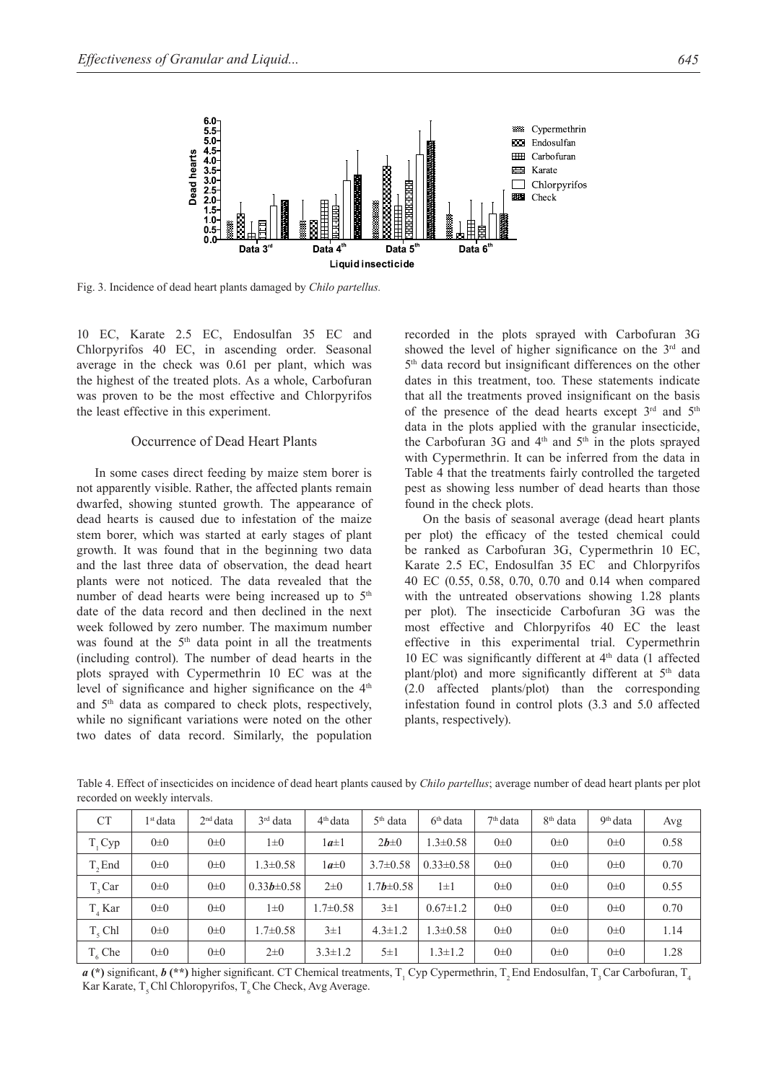

Fig. 3. Incidence of dead heart plants damaged by *Chilo partellus.*

10 EC, Karate 2.5 EC, Endosulfan 35 EC and Chlorpyrifos 40 EC, in ascending order. Seasonal average in the check was 0.61 per plant, which was the highest of the treated plots. As a whole, Carbofuran was proven to be the most effective and Chlorpyrifos the least effective in this experiment.

## Occurrence of Dead Heart Plants

In some cases direct feeding by maize stem borer is not apparently visible. Rather, the affected plants remain dwarfed, showing stunted growth. The appearance of dead hearts is caused due to infestation of the maize stem borer, which was started at early stages of plant growth. It was found that in the beginning two data and the last three data of observation, the dead heart plants were not noticed. The data revealed that the number of dead hearts were being increased up to  $5<sup>th</sup>$ date of the data record and then declined in the next week followed by zero number. The maximum number was found at the 5<sup>th</sup> data point in all the treatments (including control). The number of dead hearts in the plots sprayed with Cypermethrin 10 EC was at the level of significance and higher significance on the  $4<sup>th</sup>$ and 5th data as compared to check plots, respectively, while no significant variations were noted on the other two dates of data record. Similarly, the population

recorded in the plots sprayed with Carbofuran 3G showed the level of higher significance on the  $3<sup>rd</sup>$  and 5th data record but insignificant differences on the other dates in this treatment, too. These statements indicate that all the treatments proved insignificant on the basis of the presence of the dead hearts except  $3<sup>rd</sup>$  and  $5<sup>th</sup>$ data in the plots applied with the granular insecticide, the Carbofuran 3G and  $4<sup>th</sup>$  and  $5<sup>th</sup>$  in the plots sprayed with Cypermethrin. It can be inferred from the data in Table 4 that the treatments fairly controlled the targeted pest as showing less number of dead hearts than those found in the check plots.

On the basis of seasonal average (dead heart plants per plot) the efficacy of the tested chemical could be ranked as Carbofuran 3G, Cypermethrin 10 EC, Karate 2.5 EC, Endosulfan 35 EC and Chlorpyrifos 40 EC (0.55, 0.58, 0.70, 0.70 and 0.14 when compared with the untreated observations showing 1.28 plants per plot). The insecticide Carbofuran 3G was the most effective and Chlorpyrifos 40 EC the least effective in this experimental trial. Cypermethrin 10 EC was significantly different at  $4<sup>th</sup>$  data (1 affected plant/plot) and more significantly different at 5<sup>th</sup> data (2.0 affected plants/plot) than the corresponding infestation found in control plots (3.3 and 5.0 affected plants, respectively).

Table 4. Effect of insecticides on incidence of dead heart plants caused by *Chilo partellus*; average number of dead heart plants per plot recorded on weekly intervals.

| <b>CT</b>  | 1 <sup>st</sup> data | 2 <sup>nd</sup> data | $3rd$ data       | $4th$ data     | $5th$ data      | $6th$ data      | 7 <sup>th</sup> data | 8 <sup>th</sup> data | 9 <sup>th</sup> data | Avg  |
|------------|----------------------|----------------------|------------------|----------------|-----------------|-----------------|----------------------|----------------------|----------------------|------|
| $T_{1}Cyp$ | $0\pm 0$             | $0\pm 0$             | $1\pm 0$         | $1a\pm 1$      | $2b\pm 0$       | $.3 \pm 0.58$   | $0\pm 0$             | $0\pm 0$             | $0\pm 0$             | 0.58 |
| T. End     | $0\pm 0$             | $0\pm 0$             | $1.3 \pm 0.58$   | $1a\pm0$       | $3.7 \pm 0.58$  | $0.33 \pm 0.58$ | $0\pm 0$             | $0\pm 0$             | $0\pm 0$             | 0.70 |
| T. Car     | $0\pm 0$             | $0\pm 0$             | $0.33b \pm 0.58$ | $2\pm 0$       | $1.7b \pm 0.58$ | $1 \pm 1$       | $0\pm 0$             | $0\pm 0$             | $0\pm 0$             | 0.55 |
| T. Kar     | $0\pm 0$             | $0\pm 0$             | $1\pm 0$         | $1.7 \pm 0.58$ | $3\pm1$         | $0.67 \pm 1.2$  | $0\pm 0$             | $0\pm 0$             | $0\pm 0$             | 0.70 |
| T. Chl     | $0\pm 0$             | $0\pm 0$             | $1.7 \pm 0.58$   | $3\pm1$        | $4.3 \pm 1.2$   | $.3 \pm 0.58$   | $0\pm 0$             | $0\pm 0$             | $0\pm 0$             | 1.14 |
| $T_6$ Che  | $0\pm 0$             | $0\pm 0$             | $2\pm 0$         | $3.3 \pm 1.2$  | $5\pm1$         | $1.3 \pm 1.2$   | $0\pm 0$             | $0\pm 0$             | $0\pm 0$             | 1.28 |

 $a$  (\*) significant,  $b$  (\*\*) higher significant. CT Chemical treatments, T<sub>1</sub> Cyp Cypermethrin, T<sub>2</sub> End Endosulfan, T<sub>3</sub> Car Carbofuran, T<sub>4</sub> Kar Karate, T<sub>5</sub> Chl Chloropyrifos, T<sub>6</sub> Che Check, Avg Average.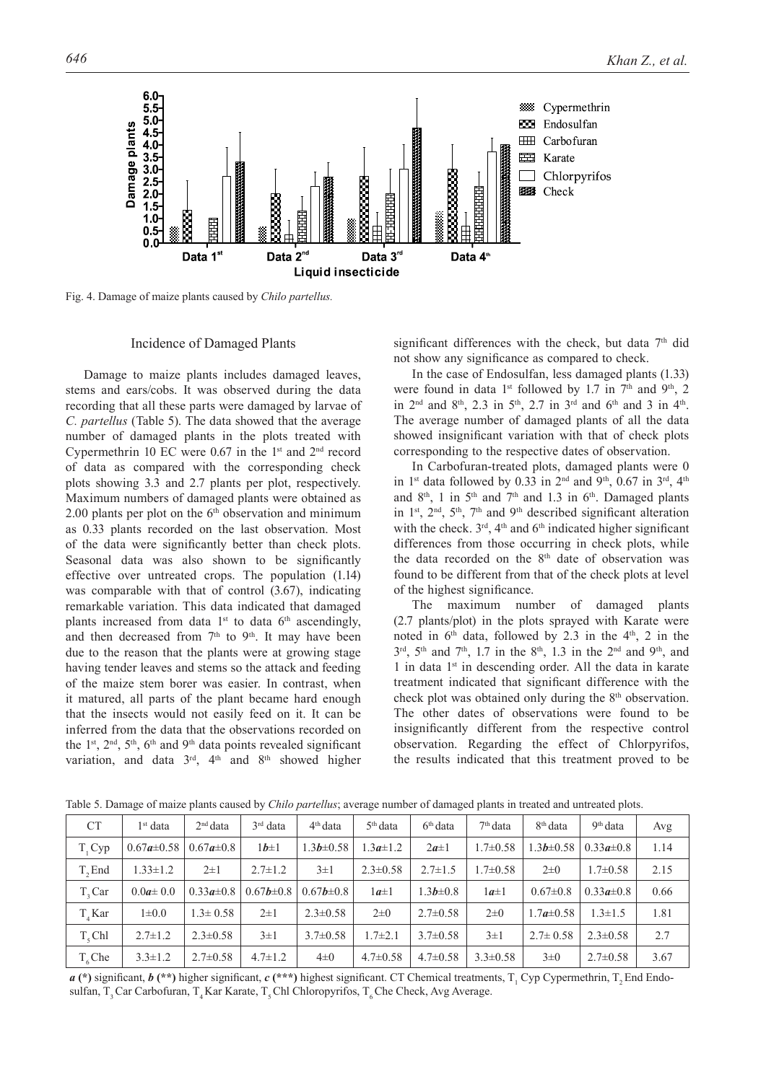

Fig. 4. Damage of maize plants caused by *Chilo partellus.*

#### Incidence of Damaged Plants

Damage to maize plants includes damaged leaves, stems and ears/cobs. It was observed during the data recording that all these parts were damaged by larvae of *C. partellus* (Table 5). The data showed that the average number of damaged plants in the plots treated with Cypermethrin 10 EC were  $0.67$  in the 1<sup>st</sup> and  $2<sup>nd</sup>$  record of data as compared with the corresponding check plots showing 3.3 and 2.7 plants per plot, respectively. Maximum numbers of damaged plants were obtained as 2.00 plants per plot on the  $6<sup>th</sup>$  observation and minimum as 0.33 plants recorded on the last observation. Most of the data were significantly better than check plots. Seasonal data was also shown to be significantly effective over untreated crops. The population (1.14) was comparable with that of control (3.67), indicating remarkable variation. This data indicated that damaged plants increased from data  $1<sup>st</sup>$  to data  $6<sup>th</sup>$  ascendingly, and then decreased from 7<sup>th</sup> to 9<sup>th</sup>. It may have been due to the reason that the plants were at growing stage having tender leaves and stems so the attack and feeding of the maize stem borer was easier. In contrast, when it matured, all parts of the plant became hard enough that the insects would not easily feed on it. It can be inferred from the data that the observations recorded on the  $1<sup>st</sup>$ ,  $2<sup>nd</sup>$ ,  $5<sup>th</sup>$ ,  $6<sup>th</sup>$  and  $9<sup>th</sup>$  data points revealed significant variation, and data  $3<sup>rd</sup>$ ,  $4<sup>th</sup>$  and  $8<sup>th</sup>$  showed higher

significant differences with the check, but data  $7<sup>th</sup>$  did not show any significance as compared to check.

In the case of Endosulfan, less damaged plants (1.33) were found in data 1<sup>st</sup> followed by 1.7 in 7<sup>th</sup> and 9<sup>th</sup>, 2 in  $2^{nd}$  and  $8^{th}$ ,  $2.3$  in  $5^{th}$ ,  $2.7$  in  $3^{rd}$  and  $6^{th}$  and  $3$  in  $4^{th}$ . The average number of damaged plants of all the data showed insignificant variation with that of check plots corresponding to the respective dates of observation.

In Carbofuran-treated plots, damaged plants were 0 in 1<sup>st</sup> data followed by 0.33 in 2<sup>nd</sup> and 9<sup>th</sup>, 0.67 in 3<sup>rd</sup>, 4<sup>th</sup> and  $8<sup>th</sup>$ , 1 in 5<sup>th</sup> and 7<sup>th</sup> and 1.3 in 6<sup>th</sup>. Damaged plants in 1<sup>st</sup>,  $2<sup>nd</sup>$ ,  $5<sup>th</sup>$ ,  $7<sup>th</sup>$  and  $9<sup>th</sup>$  described significant alteration with the check.  $3<sup>rd</sup>$ ,  $4<sup>th</sup>$  and  $6<sup>th</sup>$  indicated higher significant differences from those occurring in check plots, while the data recorded on the 8<sup>th</sup> date of observation was found to be different from that of the check plots at level of the highest significance.

The maximum number of damaged plants (2.7 plants/plot) in the plots sprayed with Karate were noted in  $6<sup>th</sup>$  data, followed by 2.3 in the  $4<sup>th</sup>$ , 2 in the  $3<sup>rd</sup>$ ,  $5<sup>th</sup>$  and  $7<sup>th</sup>$ , 1.7 in the  $8<sup>th</sup>$ , 1.3 in the  $2<sup>nd</sup>$  and  $9<sup>th</sup>$ , and 1 in data 1<sup>st</sup> in descending order. All the data in karate treatment indicated that significant difference with the check plot was obtained only during the 8<sup>th</sup> observation. The other dates of observations were found to be insignificantly different from the respective control observation. Regarding the effect of Chlorpyrifos, the results indicated that this treatment proved to be

| <b>CT</b>  | $1st$ data       | 2 <sup>nd</sup> data | $3rd$ data      | $4th$ data      | $5th$ data     | 6 <sup>th</sup> data | 7 <sup>th</sup> data | 8 <sup>th</sup> data | 9 <sup>th</sup> data | Avg  |
|------------|------------------|----------------------|-----------------|-----------------|----------------|----------------------|----------------------|----------------------|----------------------|------|
| $T_{1}Cyp$ | $0.67a \pm 0.58$ | $0.67a \pm 0.8$      | $1b\pm 1$       | $1.3b \pm 0.58$ | $1.3a \pm 1.2$ | $2a\pm 1$            | $1.7 \pm 0.58$       | $1.3b \pm 0.58$      | $0.33a \pm 0.8$      | 1.14 |
| T. End     | $1.33 \pm 1.2$   | $2\pm1$              | $2.7 \pm 1.2$   | $3\pm1$         | $2.3 \pm 0.58$ | $2.7 \pm 1.5$        | $1.7 \pm 0.58$       | $2\pm 0$             | $1.7 \pm 0.58$       | 2.15 |
| T. Car     | $0.0a \pm 0.0$   | $0.33a \pm 0.8$      | $0.67b \pm 0.8$ | $0.67b \pm 0.8$ | $1a\pm 1$      | $1.3b \pm 0.8$       | $1a\pm 1$            | $0.67 \pm 0.8$       | $0.33a \pm 0.8$      | 0.66 |
| T.Kar      | $1 \pm 0.0$      | $1.3 \pm 0.58$       | $2\pm1$         | $2.3 \pm 0.58$  | $2\pm 0$       | $2.7 \pm 0.58$       | $2\pm 0$             | $1.7a \pm 0.58$      | $1.3 \pm 1.5$        | 1.81 |
| T. Chl     | $2.7 \pm 1.2$    | $2.3 \pm 0.58$       | $3\pm1$         | $3.7 \pm 0.58$  | $1.7 \pm 2.1$  | $3.7 \pm 0.58$       | $3\pm1$              | $2.7 \pm 0.58$       | $2.3 \pm 0.58$       | 2.7  |
| T. Che     | $3.3 \pm 1.2$    | $2.7 \pm 0.58$       | $4.7 \pm 1.2$   | $4\pm 0$        | $4.7 \pm 0.58$ | $4.7 \pm 0.58$       | $3.3 \pm 0.58$       | $3\pm 0$             | $2.7 \pm 0.58$       | 3.67 |

Table 5. Damage of maize plants caused by *Chilo partellus*; average number of damaged plants in treated and untreated plots.

 $a$  (\*) significant,  $b$  (\*\*) higher significant,  $c$  (\*\*\*) highest significant. CT Chemical treatments,  $T_1$  Cyp Cypermethrin,  $T_2$  End Endosulfan, T<sub>3</sub> Car Carbofuran, T<sub>4</sub> Kar Karate, T<sub>5</sub> Chl Chloropyrifos, T<sub>6</sub> Che Check, Avg Average.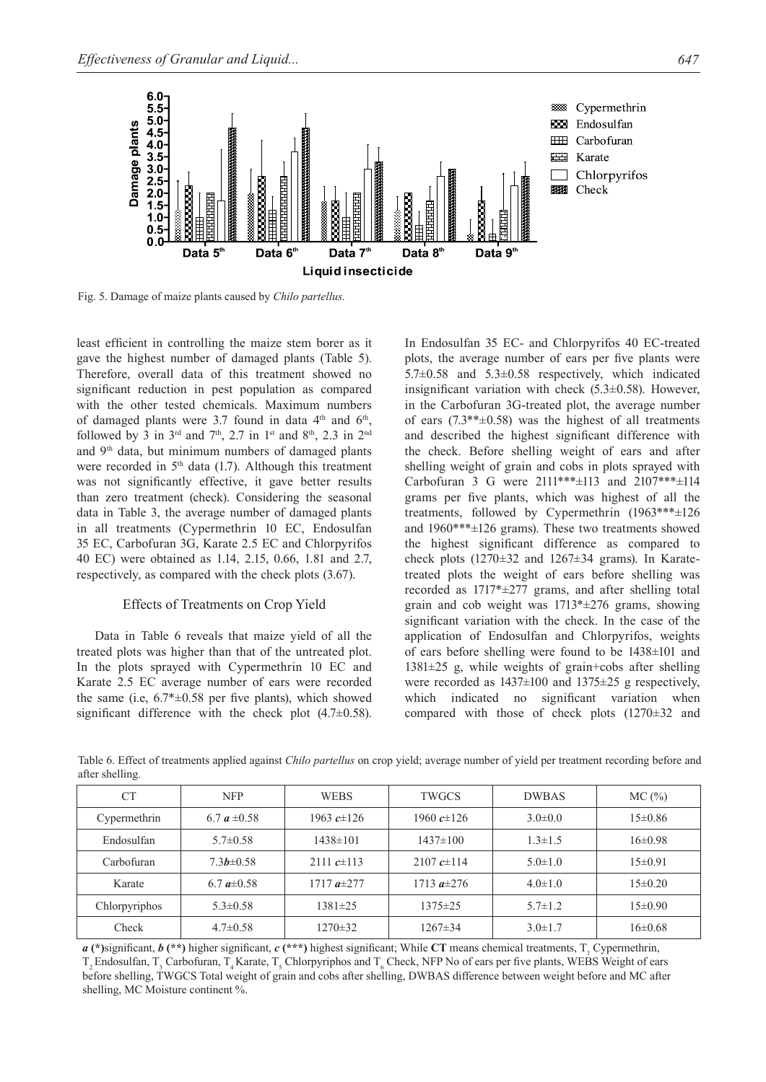

Fig. 5. Damage of maize plants caused by *Chilo partellus.*

least efficient in controlling the maize stem borer as it gave the highest number of damaged plants (Table 5). Therefore, overall data of this treatment showed no significant reduction in pest population as compared with the other tested chemicals. Maximum numbers of damaged plants were 3.7 found in data 4<sup>th</sup> and 6<sup>th</sup>, followed by 3 in  $3<sup>rd</sup>$  and  $7<sup>th</sup>$ , 2.7 in 1<sup>st</sup> and 8<sup>th</sup>, 2.3 in 2<sup>nd</sup> and 9<sup>th</sup> data, but minimum numbers of damaged plants were recorded in 5<sup>th</sup> data (1.7). Although this treatment was not significantly effective, it gave better results than zero treatment (check). Considering the seasonal data in Table 3, the average number of damaged plants in all treatments (Cypermethrin 10 EC, Endosulfan 35 EC, Carbofuran 3G, Karate 2.5 EC and Chlorpyrifos 40 EC) were obtained as 1.14, 2.15, 0.66, 1.81 and 2.7, respectively, as compared with the check plots (3.67).

#### Effects of Treatments on Crop Yield

Data in Table 6 reveals that maize yield of all the treated plots was higher than that of the untreated plot. In the plots sprayed with Cypermethrin 10 EC and Karate 2.5 EC average number of ears were recorded the same (i.e,  $6.7* \pm 0.58$  per five plants), which showed significant difference with the check plot  $(4.7\pm0.58)$ .

In Endosulfan 35 EC- and Chlorpyrifos 40 EC-treated plots, the average number of ears per five plants were 5.7±0.58 and 5.3±0.58 respectively, which indicated insignificant variation with check  $(5.3\pm0.58)$ . However, in the Carbofuran 3G-treated plot, the average number of ears  $(7.3^{**} \pm 0.58)$  was the highest of all treatments and described the highest significant difference with the check. Before shelling weight of ears and after shelling weight of grain and cobs in plots sprayed with Carbofuran 3 G were 2111\*\*\*±113 and 2107\*\*\*±114 grams per five plants, which was highest of all the treatments, followed by Cypermethrin (1963\*\*\*±126 and 1960\*\*\*±126 grams). These two treatments showed the highest significant difference as compared to check plots  $(1270 \pm 32$  and  $1267 \pm 34$  grams). In Karatetreated plots the weight of ears before shelling was recorded as 1717\*±277 grams, and after shelling total grain and cob weight was 1713\*±276 grams, showing significant variation with the check. In the case of the application of Endosulfan and Chlorpyrifos, weights of ears before shelling were found to be 1438±101 and 1381±25 g, while weights of grain+cobs after shelling were recorded as 1437±100 and 1375±25 g respectively, which indicated no significant variation when compared with those of check plots (1270±32 and

Table 6. Effect of treatments applied against *Chilo partellus* on crop yield; average number of yield per treatment recording before and after shelling.

| <b>CT</b>     | <b>NFP</b>       | <b>WEBS</b>     | TWGCS           | <b>DWBAS</b>  | MC(%)       |
|---------------|------------------|-----------------|-----------------|---------------|-------------|
| Cypermethrin  | 6.7 $a \pm 0.58$ | 1963 $c\pm 126$ | 1960 $c\pm 126$ | $3.0 \pm 0.0$ | $15\pm0.86$ |
| Endosulfan    | $5.7 \pm 0.58$   | $1438 \pm 101$  | $1437 \pm 100$  | $1.3 \pm 1.5$ | $16\pm0.98$ |
| Carbofuran    | $7.3b \pm 0.58$  | 2111 $c\pm 113$ | 2107 $c\pm114$  | $5.0 \pm 1.0$ | $15\pm0.91$ |
| Karate        | 6.7 $a\pm 0.58$  | 1717 $a\pm 277$ | 1713 $a\pm 276$ | $4.0 \pm 1.0$ | $15\pm0.20$ |
| Chlorpyriphos | $5.3 \pm 0.58$   | $1381 \pm 25$   | 1375±25         | $5.7 \pm 1.2$ | $15\pm0.90$ |
| Check         | $4.7 \pm 0.58$   | $1270 \pm 32$   | $1267 \pm 34$   | $3.0 \pm 1.7$ | $16\pm0.68$ |

*a* (\*)significant, *b* (\*\*) higher significant, *c* (\*\*\*) highest significant; While CT means chemical treatments, T<sub>1</sub> Cypermethrin,  $T_2$  Endosulfan,  $T_3$  Carbofuran,  $T_4$  Karate,  $T_5$  Chlorpyriphos and  $T_6$  Check, NFP No of ears per five plants, WEBS Weight of ears before shelling, TWGCS Total weight of grain and cobs after shelling, DWBAS difference between weight before and MC after shelling, MC Moisture continent %.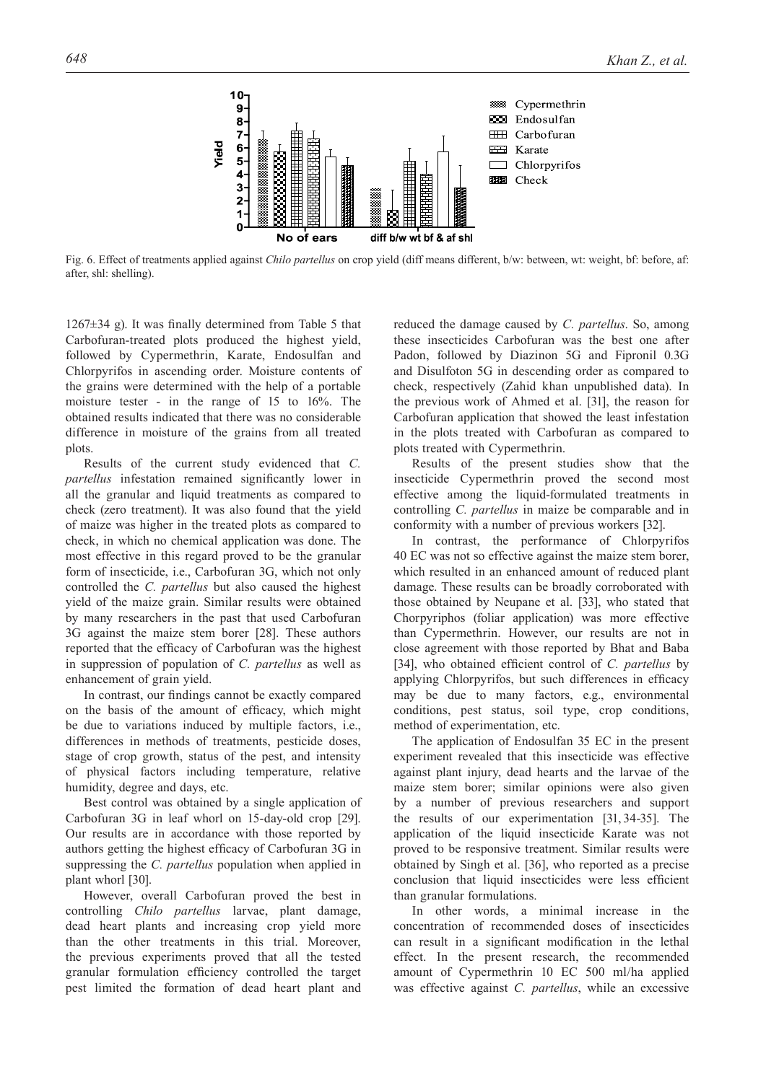

Fig. 6. Effect of treatments applied against *Chilo partellus* on crop yield (diff means different, b/w: between, wt: weight, bf: before, af: after, shl: shelling).

 $1267±34$  g). It was finally determined from Table 5 that Carbofuran-treated plots produced the highest yield, followed by Cypermethrin, Karate, Endosulfan and Chlorpyrifos in ascending order. Moisture contents of the grains were determined with the help of a portable moisture tester - in the range of 15 to 16%. The obtained results indicated that there was no considerable difference in moisture of the grains from all treated plots.

Results of the current study evidenced that *C. partellus* infestation remained significantly lower in all the granular and liquid treatments as compared to check (zero treatment). It was also found that the yield of maize was higher in the treated plots as compared to check, in which no chemical application was done. The most effective in this regard proved to be the granular form of insecticide, i.e., Carbofuran 3G, which not only controlled the *C. partellus* but also caused the highest yield of the maize grain. Similar results were obtained by many researchers in the past that used Carbofuran 3G against the maize stem borer [28]. These authors reported that the efficacy of Carbofuran was the highest in suppression of population of *C. partellus* as well as enhancement of grain yield.

In contrast, our findings cannot be exactly compared on the basis of the amount of efficacy, which might be due to variations induced by multiple factors, i.e., differences in methods of treatments, pesticide doses, stage of crop growth, status of the pest, and intensity of physical factors including temperature, relative humidity, degree and days, etc.

Best control was obtained by a single application of Carbofuran 3G in leaf whorl on 15-day-old crop [29]. Our results are in accordance with those reported by authors getting the highest efficacy of Carbofuran 3G in suppressing the *C. partellus* population when applied in plant whorl [30].

However, overall Carbofuran proved the best in controlling *Chilo partellus* larvae, plant damage, dead heart plants and increasing crop yield more than the other treatments in this trial. Moreover, the previous experiments proved that all the tested granular formulation efficiency controlled the target pest limited the formation of dead heart plant and

reduced the damage caused by *C. partellus*. So, among these insecticides Carbofuran was the best one after Padon, followed by Diazinon 5G and Fipronil 0.3G and Disulfoton 5G in descending order as compared to check, respectively (Zahid khan unpublished data). In the previous work of Ahmed et al. [31], the reason for Carbofuran application that showed the least infestation in the plots treated with Carbofuran as compared to plots treated with Cypermethrin.

Results of the present studies show that the insecticide Cypermethrin proved the second most effective among the liquid-formulated treatments in controlling *C. partellus* in maize be comparable and in conformity with a number of previous workers [32].

In contrast, the performance of Chlorpyrifos 40 EC was not so effective against the maize stem borer, which resulted in an enhanced amount of reduced plant damage. These results can be broadly corroborated with those obtained by Neupane et al. [33], who stated that Chorpyriphos (foliar application) was more effective than Cypermethrin. However, our results are not in close agreement with those reported by Bhat and Baba [34], who obtained efficient control of *C. partellus* by applying Chlorpyrifos, but such differences in efficacy may be due to many factors, e.g., environmental conditions, pest status, soil type, crop conditions, method of experimentation, etc.

The application of Endosulfan 35 EC in the present experiment revealed that this insecticide was effective against plant injury, dead hearts and the larvae of the maize stem borer; similar opinions were also given by a number of previous researchers and support the results of our experimentation [31, 34-35]. The application of the liquid insecticide Karate was not proved to be responsive treatment. Similar results were obtained by Singh et al. [36], who reported as a precise conclusion that liquid insecticides were less efficient than granular formulations.

In other words, a minimal increase in the concentration of recommended doses of insecticides can result in a significant modification in the lethal effect. In the present research, the recommended amount of Cypermethrin 10 EC 500 ml/ha applied was effective against *C. partellus*, while an excessive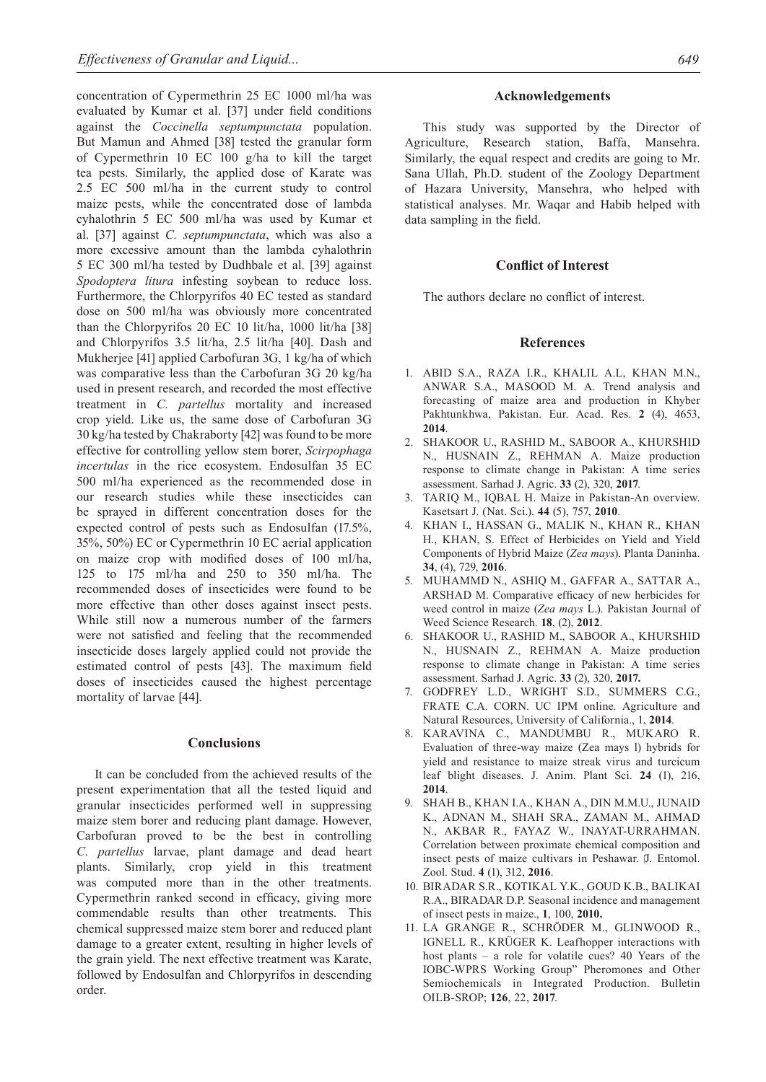concentration of Cypermethrin 25 EC 1000 ml/ha was evaluated by Kumar et al. [37] under field conditions against the *Coccinella septumpunctata* population. But Mamun and Ahmed [38] tested the granular form of Cypermethrin 10 EC 100 g/ha to kill the target tea pests. Similarly, the applied dose of Karate was 2.5 EC 500 ml/ha in the current study to control maize pests, while the concentrated dose of lambda cyhalothrin 5 EC 500 ml/ha was used by Kumar et al. [37] against *C. septumpunctata*, which was also a more excessive amount than the lambda cyhalothrin 5 EC 300 ml/ha tested by Dudhbale et al. [39] against *Spodoptera litura* infesting soybean to reduce loss. Furthermore, the Chlorpyrifos 40 EC tested as standard dose on 500 ml/ha was obviously more concentrated than the Chlorpyrifos 20 EC 10 lit/ha, 1000 lit/ha [38] and Chlorpyrifos 3.5 lit/ha, 2.5 lit/ha [40]. Dash and Mukherjee [41] applied Carbofuran 3G, 1 kg/ha of which was comparative less than the Carbofuran 3G 20 kg/ha used in present research, and recorded the most effective treatment in *C. partellus* mortality and increased crop yield. Like us, the same dose of Carbofuran 3G 30 kg/ha tested by Chakraborty [42] was found to be more effective for controlling yellow stem borer, *Scirpophaga incertulas* in the rice ecosystem. Endosulfan 35 EC 500 ml/ha experienced as the recommended dose in our research studies while these insecticides can be sprayed in different concentration doses for the expected control of pests such as Endosulfan (17.5%, 35%, 50%) EC or Cypermethrin 10 EC aerial application on maize crop with modified doses of 100 ml/ha, 125 to 175 ml/ha and 250 to 350 ml/ha. The recommended doses of insecticides were found to be more effective than other doses against insect pests. While still now a numerous number of the farmers were not satisfied and feeling that the recommended insecticide doses largely applied could not provide the estimated control of pests [43]. The maximum field doses of insecticides caused the highest percentage mortality of larvae [44].

#### **Conclusions**

It can be concluded from the achieved results of the present experimentation that all the tested liquid and granular insecticides performed well in suppressing maize stem borer and reducing plant damage. However, Carbofuran proved to be the best in controlling *C. partellus* larvae, plant damage and dead heart plants. Similarly, crop yield in this treatment was computed more than in the other treatments. Cypermethrin ranked second in efficacy, giving more commendable results than other treatments. This chemical suppressed maize stem borer and reduced plant damage to a greater extent, resulting in higher levels of the grain yield. The next effective treatment was Karate, followed by Endosulfan and Chlorpyrifos in descending order.

#### **Acknowledgements**

This study was supported by the Director of Agriculture, Research station, Baffa, Mansehra. Similarly, the equal respect and credits are going to Mr. Sana Ullah, Ph.D. student of the Zoology Department of Hazara University, Mansehra, who helped with statistical analyses. Mr. Waqar and Habib helped with data sampling in the field.

# **Conflict of Interest**

The authors declare no conflict of interest.

## **References**

- 1. ABID S.A., RAZA I.R., KHALIL A.L, KHAN M.N., ANWAR S.A., MASOOD M. A. Trend analysis and forecasting of maize area and production in Khyber Pakhtunkhwa, Pakistan. Eur. Acad. Res. **2** (4), 4653, **2014**.
- 2. SHAKOOR U., RASHID M., SABOOR A., KHURSHID N., HUSNAIN Z., REHMAN A. Maize production response to climate change in Pakistan: A time series assessment. Sarhad J. Agric. **33** (2), 320, **2017**.
- 3. TARIQ M., IQBAL H. Maize in Pakistan-An overview. Kasetsart J. (Nat. Sci.). **44** (5), 757, **2010**.
- 4. KHAN I., HASSAN G., MALIK N., KHAN R., KHAN H., KHAN, S. Effect of Herbicides on Yield and Yield Components of Hybrid Maize (*Zea mays*). Planta Daninha. **34**, (4), 729, **2016**.
- 5. MUHAMMD N., ASHIQ M., GAFFAR A., SATTAR A., ARSHAD M. Comparative efficacy of new herbicides for weed control in maize (*Zea mays* L.). Pakistan Journal of Weed Science Research. **18**, (2), **2012**.
- 6. SHAKOOR U., RASHID M., SABOOR A., KHURSHID N., HUSNAIN Z., REHMAN A. Maize production response to climate change in Pakistan: A time series assessment. Sarhad J. Agric. **33** (2), 320, **2017.**
- 7. GODFREY L.D., WRIGHT S.D., SUMMERS C.G., FRATE C.A. CORN. UC IPM online. Agriculture and Natural Resources, University of California., 1, **2014**.
- 8. KARAVINA C., MANDUMBU R., MUKARO R. Evaluation of three-way maize (Zea mays l) hybrids for yield and resistance to maize streak virus and turcicum leaf blight diseases. J. Anim. Plant Sci. **24** (1), 216, **2014**.
- 9. SHAH B., KHAN I.A., KHAN A., DIN M.M.U., JUNAID K., ADNAN M., SHAH SRA., ZAMAN M., AHMAD N., AKBAR R., FAYAZ W., INAYAT-URRAHMAN. Correlation between proximate chemical composition and insect pests of maize cultivars in Peshawar. J. Entomol. Zool. Stud. **4** (1), 312, **2016**.
- 10. BIRADAR S.R., KOTIKAL Y.K., GOUD K.B., BALIKAI R.A., BIRADAR D.P. Seasonal incidence and management of insect pests in maize., **1**, 100, **2010.**
- 11. LA GRANGE R., SCHRÖDER M., GLINWOOD R., IGNELL R., KRÜGER K. Leafhopper interactions with host plants – a role for volatile cues? 40 Years of the IOBC-WPRS Working Group" Pheromones and Other Semiochemicals in Integrated Production. Bulletin OILB-SROP; **126**, 22, **2017**.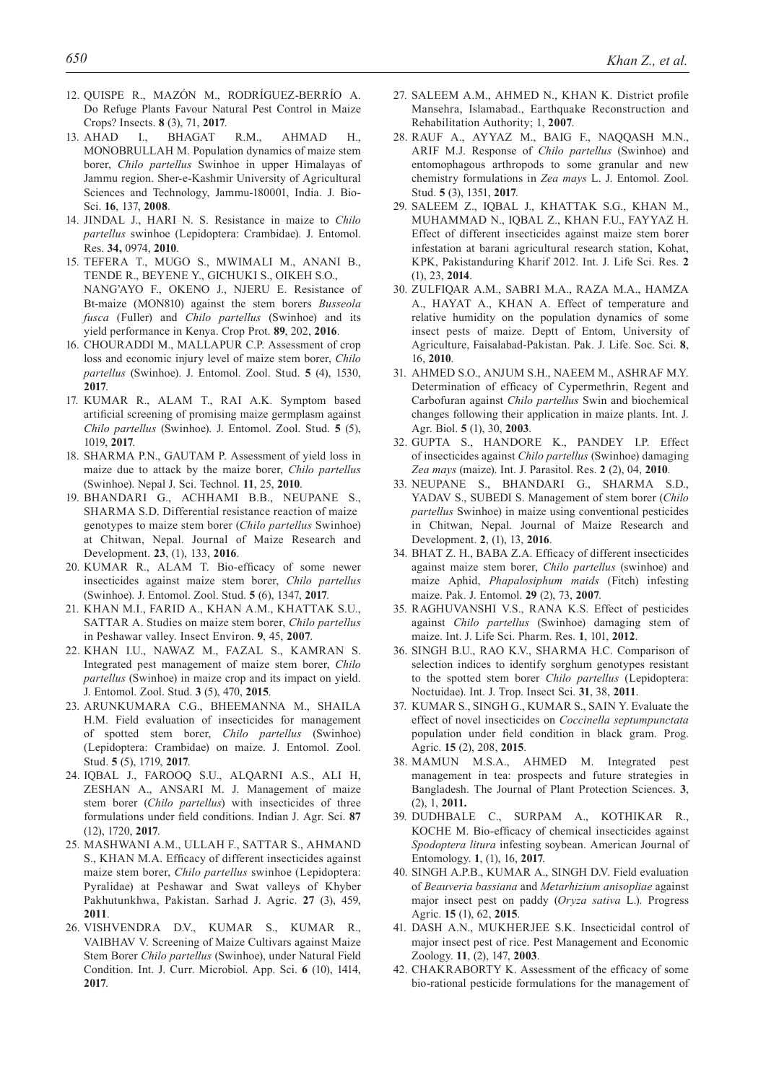- 12. QUISPE R., MAZÓN M., RODRÍGUEZ-BERRÍO A. Do Refuge Plants Favour Natural Pest Control in Maize Crops? Insects. **8** (3), 71, **2017**.
- 13. AHAD I., BHAGAT R.M., AHMAD H., MONOBRULLAH M. Population dynamics of maize stem borer, *Chilo partellus* Swinhoe in upper Himalayas of Jammu region. Sher-e-Kashmir University of Agricultural Sciences and Technology, Jammu-180001, India. J. Bio-Sci. **16**, 137, **2008**.
- 14. JINDAL J., HARI N. S. Resistance in maize to *Chilo partellus* swinhoe (Lepidoptera: Crambidae). J. Entomol. Res. **34,** 0974, **2010**.
- 15. TEFERA T., MUGO S., MWIMALI M., ANANI B., TENDE R., BEYENE Y., GICHUKI S., OIKEH S.O., NANG'AYO F., OKENO J., NJERU E. Resistance of Bt-maize (MON810) against the stem borers *Busseola fusca* (Fuller) and *Chilo partellus* (Swinhoe) and its yield performance in Kenya. Crop Prot. **89**, 202, **2016**.
- 16. CHOURADDI M., MALLAPUR C.P. Assessment of crop loss and economic injury level of maize stem borer, *Chilo partellus* (Swinhoe). J. Entomol. Zool. Stud. **5** (4), 1530, **2017**.
- 17. KUMAR R., ALAM T., RAI A.K. Symptom based artificial screening of promising maize germplasm against *Chilo partellus* (Swinhoe). J. Entomol. Zool. Stud. **5** (5), 1019, **2017**.
- 18. SHARMA P.N., GAUTAM P. Assessment of yield loss in maize due to attack by the maize borer, *Chilo partellus* (Swinhoe). Nepal J. Sci. Technol. **11**, 25, **2010**.
- 19. BHANDARI G., ACHHAMI B.B., NEUPANE S., SHARMA S.D. Differential resistance reaction of maize genotypes to maize stem borer (*Chilo partellus* Swinhoe) at Chitwan, Nepal. Journal of Maize Research and Development. **23**, (1), 133, **2016**.
- 20. KUMAR R., ALAM T. Bio-efficacy of some newer insecticides against maize stem borer, *Chilo partellus* (Swinhoe). J. Entomol. Zool. Stud. **5** (6), 1347, **2017**.
- 21. KHAN M.I., FARID A., KHAN A.M., KHATTAK S.U., SATTAR A. Studies on maize stem borer, *Chilo partellus*  in Peshawar valley. Insect Environ. **9**, 45, **2007**.
- 22. KHAN I.U., NAWAZ M., FAZAL S., KAMRAN S. Integrated pest management of maize stem borer, *Chilo partellus* (Swinhoe) in maize crop and its impact on yield. J. Entomol. Zool. Stud. **3** (5), 470, **2015**.
- 23. ARUNKUMARA C.G., BHEEMANNA M., SHAILA H.M. Field evaluation of insecticides for management of spotted stem borer, *Chilo partellus* (Swinhoe) (Lepidoptera: Crambidae) on maize. J. Entomol. Zool. Stud. **5** (5), 1719, **2017**.
- 24. IQBAL J., FAROOQ S.U., ALQARNI A.S., ALI H, ZESHAN A., ANSARI M. J. Management of maize stem borer (*Chilo partellus*) with insecticides of three formulations under field conditions. Indian J. Agr. Sci. **87**  (12), 1720, **2017**.
- 25. MASHWANI A.M., ULLAH F., SATTAR S., AHMAND S., KHAN M.A. Efficacy of different insecticides against maize stem borer, *Chilo partellus* swinhoe (Lepidoptera: Pyralidae) at Peshawar and Swat valleys of Khyber Pakhutunkhwa, Pakistan. Sarhad J. Agric. **27** (3), 459, **2011**.
- 26. VISHVENDRA D.V., KUMAR S., KUMAR R., VAIBHAV V. Screening of Maize Cultivars against Maize Stem Borer *Chilo partellus* (Swinhoe), under Natural Field Condition. Int. J. Curr. Microbiol. App. Sci. **6** (10), 1414, **2017**.
- 27. SALEEM A.M., AHMED N., KHAN K. District profile Mansehra, Islamabad., Earthquake Reconstruction and Rehabilitation Authority; 1, **2007**.
- 28. RAUF A., AYYAZ M., BAIG F., NAQQASH M.N., ARIF M.J. Response of *Chilo partellus* (Swinhoe) and entomophagous arthropods to some granular and new chemistry formulations in *Zea mays* L. J. Entomol. Zool. Stud. **5** (3), 1351, **2017**.
- 29. SALEEM Z., IQBAL J., KHATTAK S.G., KHAN M., MUHAMMAD N., IQBAL Z., KHAN F.U., FAYYAZ H. Effect of different insecticides against maize stem borer infestation at barani agricultural research station, Kohat, KPK, Pakistanduring Kharif 2012. Int. J. Life Sci. Res. **2**  (1), 23, **2014**.
- 30. ZULFIQAR A.M., SABRI M.A., RAZA M.A., HAMZA A., HAYAT A., KHAN A. Effect of temperature and relative humidity on the population dynamics of some insect pests of maize. Deptt of Entom, University of Agriculture, Faisalabad-Pakistan. Pak. J. Life. Soc. Sci. **8**, 16, **2010**.
- 31. AHMED S.O., ANJUM S.H., NAEEM M., ASHRAF M.Y. Determination of efficacy of Cypermethrin, Regent and Carbofuran against *Chilo partellus* Swin and biochemical changes following their application in maize plants. Int. J. Agr. Biol. **5** (1), 30, **2003**.
- 32. GUPTA S., HANDORE K., PANDEY I.P. Effect of insecticides against *Chilo partellus* (Swinhoe) damaging *Zea mays* (maize). Int. J. Parasitol. Res. **2** (2), 04, **2010**.
- 33. NEUPANE S., BHANDARI G., SHARMA S.D., YADAV S., SUBEDI S. Management of stem borer (*Chilo partellus* Swinhoe) in maize using conventional pesticides in Chitwan, Nepal. Journal of Maize Research and Development. **2**, (1), 13, **2016**.
- 34. BHAT Z. H., BABA Z.A. Efficacy of different insecticides against maize stem borer, *Chilo partellus* (swinhoe) and maize Aphid, *Phapalosiphum maids* (Fitch) infesting maize. Pak. J. Entomol. **29** (2), 73, **2007**.
- 35. RAGHUVANSHI V.S., RANA K.S. Effect of pesticides against *Chilo partellus* (Swinhoe) damaging stem of maize. Int. J. Life Sci. Pharm. Res. **1**, 101, **2012**.
- 36. SINGH B.U., RAO K.V., SHARMA H.C. Comparison of selection indices to identify sorghum genotypes resistant to the spotted stem borer *Chilo partellus* (Lepidoptera: Noctuidae). Int. J. Trop. Insect Sci. **31**, 38, **2011**.
- 37. KUMAR S., SINGH G., KUMAR S., SAIN Y. Evaluate the effect of novel insecticides on *Coccinella septumpunctata* population under field condition in black gram. Prog. Agric. **15** (2), 208, **2015**.
- 38. MAMUN M.S.A., AHMED M. Integrated pest management in tea: prospects and future strategies in Bangladesh. The Journal of Plant Protection Sciences. **3**, (2), 1, **2011.**
- 39. DUDHBALE C., SURPAM A., KOTHIKAR R., KOCHE M. Bio-efficacy of chemical insecticides against *Spodoptera litura* infesting soybean. American Journal of Entomology. **1**, (1), 16, **2017**.
- 40. SINGH A.P.B., KUMAR A., SINGH D.V. Field evaluation of *Beauveria bassiana* and *Metarhizium anisopliae* against major insect pest on paddy (*Oryza sativa* L.). Progress Agric. **15** (1), 62, **2015**.
- 41. DASH A.N., MUKHERJEE S.K. Insecticidal control of major insect pest of rice. Pest Management and Economic Zoology. **11**, (2), 147, **2003**.
- 42. CHAKRABORTY K. Assessment of the efficacy of some bio-rational pesticide formulations for the management of